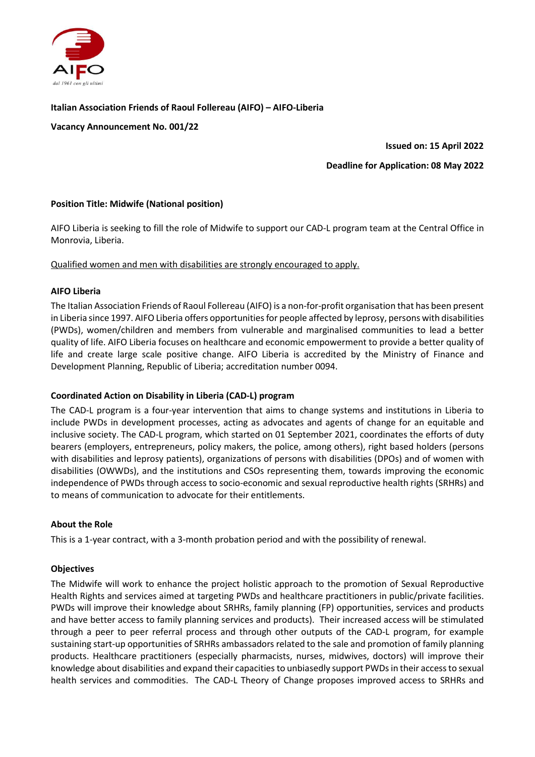

## Italian Association Friends of Raoul Follereau (AIFO) – AIFO-Liberia

Vacancy Announcement No. 001/22

Issued on: 15 April 2022

#### Deadline for Application: 08 May 2022

## Position Title: Midwife (National position)

AIFO Liberia is seeking to fill the role of Midwife to support our CAD-L program team at the Central Office in Monrovia, Liberia.

Qualified women and men with disabilities are strongly encouraged to apply.

#### AIFO Liberia

The Italian Association Friends of Raoul Follereau (AIFO) is a non-for-profit organisation that has been present in Liberia since 1997. AIFO Liberia offers opportunities for people affected by leprosy, persons with disabilities (PWDs), women/children and members from vulnerable and marginalised communities to lead a better quality of life. AIFO Liberia focuses on healthcare and economic empowerment to provide a better quality of life and create large scale positive change. AIFO Liberia is accredited by the Ministry of Finance and Development Planning, Republic of Liberia; accreditation number 0094.

## Coordinated Action on Disability in Liberia (CAD-L) program

The CAD-L program is a four-year intervention that aims to change systems and institutions in Liberia to include PWDs in development processes, acting as advocates and agents of change for an equitable and inclusive society. The CAD-L program, which started on 01 September 2021, coordinates the efforts of duty bearers (employers, entrepreneurs, policy makers, the police, among others), right based holders (persons with disabilities and leprosy patients), organizations of persons with disabilities (DPOs) and of women with disabilities (OWWDs), and the institutions and CSOs representing them, towards improving the economic independence of PWDs through access to socio-economic and sexual reproductive health rights (SRHRs) and to means of communication to advocate for their entitlements.

## About the Role

This is a 1-year contract, with a 3-month probation period and with the possibility of renewal.

## **Objectives**

The Midwife will work to enhance the project holistic approach to the promotion of Sexual Reproductive Health Rights and services aimed at targeting PWDs and healthcare practitioners in public/private facilities. PWDs will improve their knowledge about SRHRs, family planning (FP) opportunities, services and products and have better access to family planning services and products). Their increased access will be stimulated through a peer to peer referral process and through other outputs of the CAD-L program, for example sustaining start-up opportunities of SRHRs ambassadors related to the sale and promotion of family planning products. Healthcare practitioners (especially pharmacists, nurses, midwives, doctors) will improve their knowledge about disabilities and expand their capacities to unbiasedly support PWDs in their access to sexual health services and commodities. The CAD-L Theory of Change proposes improved access to SRHRs and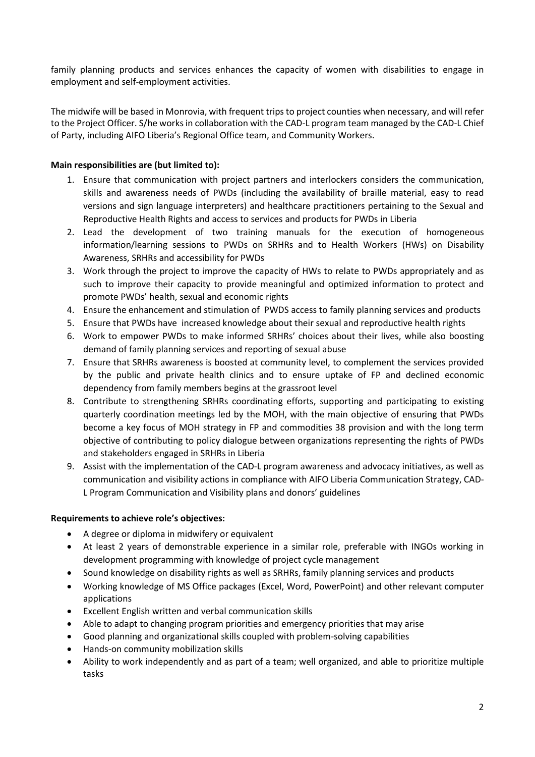family planning products and services enhances the capacity of women with disabilities to engage in employment and self-employment activities.

The midwife will be based in Monrovia, with frequent trips to project counties when necessary, and will refer to the Project Officer. S/he works in collaboration with the CAD-L program team managed by the CAD-L Chief of Party, including AIFO Liberia's Regional Office team, and Community Workers.

# Main responsibilities are (but limited to):

- 1. Ensure that communication with project partners and interlockers considers the communication, skills and awareness needs of PWDs (including the availability of braille material, easy to read versions and sign language interpreters) and healthcare practitioners pertaining to the Sexual and Reproductive Health Rights and access to services and products for PWDs in Liberia
- 2. Lead the development of two training manuals for the execution of homogeneous information/learning sessions to PWDs on SRHRs and to Health Workers (HWs) on Disability Awareness, SRHRs and accessibility for PWDs
- 3. Work through the project to improve the capacity of HWs to relate to PWDs appropriately and as such to improve their capacity to provide meaningful and optimized information to protect and promote PWDs' health, sexual and economic rights
- 4. Ensure the enhancement and stimulation of PWDS access to family planning services and products
- 5. Ensure that PWDs have increased knowledge about their sexual and reproductive health rights
- 6. Work to empower PWDs to make informed SRHRs' choices about their lives, while also boosting demand of family planning services and reporting of sexual abuse
- 7. Ensure that SRHRs awareness is boosted at community level, to complement the services provided by the public and private health clinics and to ensure uptake of FP and declined economic dependency from family members begins at the grassroot level
- 8. Contribute to strengthening SRHRs coordinating efforts, supporting and participating to existing quarterly coordination meetings led by the MOH, with the main objective of ensuring that PWDs become a key focus of MOH strategy in FP and commodities 38 provision and with the long term objective of contributing to policy dialogue between organizations representing the rights of PWDs and stakeholders engaged in SRHRs in Liberia
- 9. Assist with the implementation of the CAD-L program awareness and advocacy initiatives, as well as communication and visibility actions in compliance with AIFO Liberia Communication Strategy, CAD-L Program Communication and Visibility plans and donors' guidelines

## Requirements to achieve role's objectives:

- A degree or diploma in midwifery or equivalent
- At least 2 years of demonstrable experience in a similar role, preferable with INGOs working in development programming with knowledge of project cycle management
- Sound knowledge on disability rights as well as SRHRs, family planning services and products
- Working knowledge of MS Office packages (Excel, Word, PowerPoint) and other relevant computer applications
- Excellent English written and verbal communication skills
- Able to adapt to changing program priorities and emergency priorities that may arise
- Good planning and organizational skills coupled with problem-solving capabilities
- Hands-on community mobilization skills
- Ability to work independently and as part of a team; well organized, and able to prioritize multiple tasks